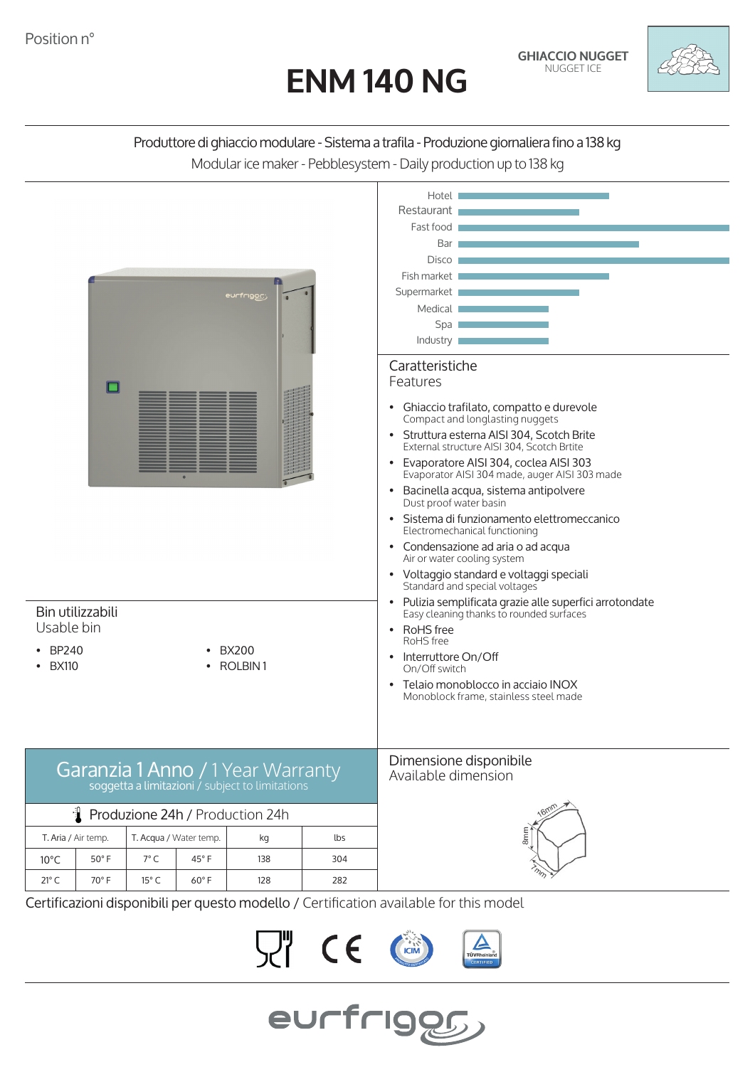

## Produttore di ghiaccio modulare - Sistema a trafila - Produzione giornaliera fino a 138 kg Modular ice maker - Pebblesystem - Daily production up to 138 kg



Certificazioni disponibili per questo modello / Certification available for this model